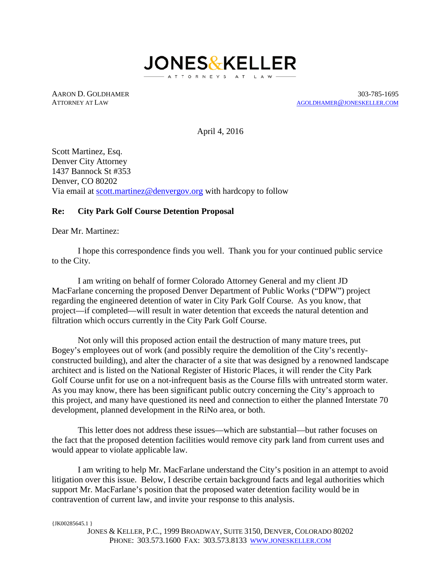

AARON D. GOLDHAMER 303-785-1695 ATTORNEY AT LAW [AGOLDHAMER@JONESKELLER.COM](mailto:agoldhamer@joneskeller.com)

April 4, 2016

Scott Martinez, Esq. Denver City Attorney 1437 Bannock St #353 Denver, CO 80202 Via email at [scott.martinez@denvergov.org](mailto:first.last@denvergov.org) with hardcopy to follow

# **Re: City Park Golf Course Detention Proposal**

Dear Mr. Martinez:

I hope this correspondence finds you well. Thank you for your continued public service to the City.

I am writing on behalf of former Colorado Attorney General and my client JD MacFarlane concerning the proposed Denver Department of Public Works ("DPW") project regarding the engineered detention of water in City Park Golf Course. As you know, that project—if completed—will result in water detention that exceeds the natural detention and filtration which occurs currently in the City Park Golf Course.

Not only will this proposed action entail the destruction of many mature trees, put Bogey's employees out of work (and possibly require the demolition of the City's recentlyconstructed building), and alter the character of a site that was designed by a renowned landscape architect and is listed on the National Register of Historic Places, it will render the City Park Golf Course unfit for use on a not-infrequent basis as the Course fills with untreated storm water. As you may know, there has been significant public outcry concerning the City's approach to this project, and many have questioned its need and connection to either the planned Interstate 70 development, planned development in the RiNo area, or both.

This letter does not address these issues—which are substantial—but rather focuses on the fact that the proposed detention facilities would remove city park land from current uses and would appear to violate applicable law.

I am writing to help Mr. MacFarlane understand the City's position in an attempt to avoid litigation over this issue. Below, I describe certain background facts and legal authorities which support Mr. MacFarlane's position that the proposed water detention facility would be in contravention of current law, and invite your response to this analysis.

{JK00285645.1 }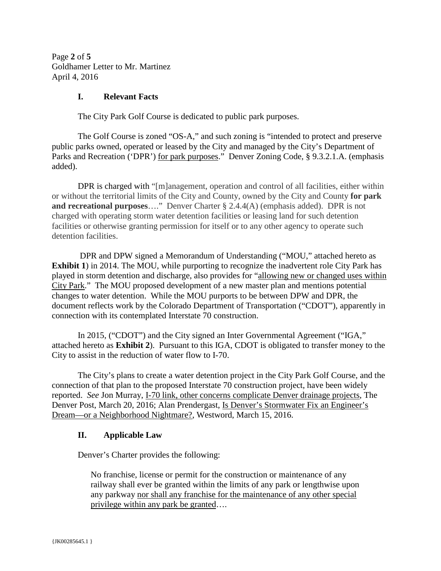Page **2** of **5** Goldhamer Letter to Mr. Martinez April 4, 2016

# **I. Relevant Facts**

The City Park Golf Course is dedicated to public park purposes.

The Golf Course is zoned "OS-A," and such zoning is "intended to protect and preserve public parks owned, operated or leased by the City and managed by the City's Department of Parks and Recreation ('DPR') for park purposes." Denver Zoning Code, § 9.3.2.1.A. (emphasis added).

DPR is charged with "[m]anagement, operation and control of all facilities, either within or without the territorial limits of the City and County, owned by the City and County **for park and recreational purposes**…."Denver Charter § 2.4.4(A) (emphasis added).DPR is not charged with operating storm water detention facilities or leasing land for such detention facilities or otherwise granting permission for itself or to any other agency to operate such detention facilities.

DPR and DPW signed a Memorandum of Understanding ("MOU," attached hereto as **Exhibit 1**) in 2014. The MOU, while purporting to recognize the inadvertent role City Park has played in storm detention and discharge, also provides for "allowing new or changed uses within City Park." The MOU proposed development of a new master plan and mentions potential changes to water detention. While the MOU purports to be between DPW and DPR, the document reflects work by the Colorado Department of Transportation ("CDOT"), apparently in connection with its contemplated Interstate 70 construction.

In 2015, ("CDOT") and the City signed an Inter Governmental Agreement ("IGA," attached hereto as **Exhibit 2**). Pursuant to this IGA, CDOT is obligated to transfer money to the City to assist in the reduction of water flow to I-70.

The City's plans to create a water detention project in the City Park Golf Course, and the connection of that plan to the proposed Interstate 70 construction project, have been widely reported. *See* Jon Murray, I-70 link, other concerns complicate Denver drainage projects, The Denver Post, March 20, 2016; Alan Prendergast, Is Denver's Stormwater Fix an Engineer's Dream—or a Neighborhood Nightmare?, Westword, March 15, 2016.

## **II. Applicable Law**

Denver's Charter provides the following:

No franchise, license or permit for the construction or maintenance of any railway shall ever be granted within the limits of any park or lengthwise upon any parkway nor shall any franchise for the maintenance of any other special privilege within any park be granted….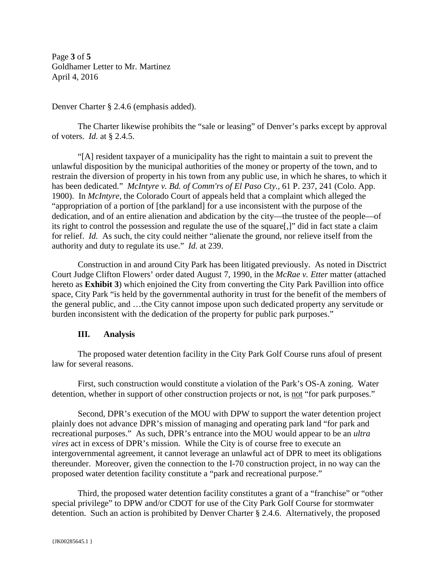Page **3** of **5** Goldhamer Letter to Mr. Martinez April 4, 2016

Denver Charter § 2.4.6 (emphasis added).

The Charter likewise prohibits the "sale or leasing" of Denver's parks except by approval of voters. *Id.* at § 2.4.5.

"[A] resident taxpayer of a municipality has the right to maintain a suit to prevent the unlawful disposition by the municipal authorities of the money or property of the town, and to restrain the diversion of property in his town from any public use, in which he shares, to which it has been dedicated." *McIntyre v. Bd. of Comm'rs of El Paso Cty.*, 61 P. 237, 241 (Colo. App. 1900). In *McIntyre*, the Colorado Court of appeals held that a complaint which alleged the "appropriation of a portion of [the parkland] for a use inconsistent with the purpose of the dedication, and of an entire alienation and abdication by the city—the trustee of the people—of its right to control the possession and regulate the use of the square[,]" did in fact state a claim for relief. *Id.* As such, the city could neither "alienate the ground, nor relieve itself from the authority and duty to regulate its use." *Id.* at 239.

Construction in and around City Park has been litigated previously. As noted in Disctrict Court Judge Clifton Flowers' order dated August 7, 1990, in the *McRae v. Etter* matter (attached hereto as **Exhibit 3**) which enjoined the City from converting the City Park Pavillion into office space, City Park "is held by the governmental authority in trust for the benefit of the members of the general public, and …the City cannot impose upon such dedicated property any servitude or burden inconsistent with the dedication of the property for public park purposes."

# **III. Analysis**

The proposed water detention facility in the City Park Golf Course runs afoul of present law for several reasons.

First, such construction would constitute a violation of the Park's OS-A zoning. Water detention, whether in support of other construction projects or not, is not "for park purposes."

Second, DPR's execution of the MOU with DPW to support the water detention project plainly does not advance DPR's mission of managing and operating park land "for park and recreational purposes." As such, DPR's entrance into the MOU would appear to be an *ultra vires* act in excess of DPR's mission. While the City is of course free to execute an intergovernmental agreement, it cannot leverage an unlawful act of DPR to meet its obligations thereunder. Moreover, given the connection to the I-70 construction project, in no way can the proposed water detention facility constitute a "park and recreational purpose."

Third, the proposed water detention facility constitutes a grant of a "franchise" or "other special privilege" to DPW and/or CDOT for use of the City Park Golf Course for stormwater detention. Such an action is prohibited by Denver Charter § 2.4.6. Alternatively, the proposed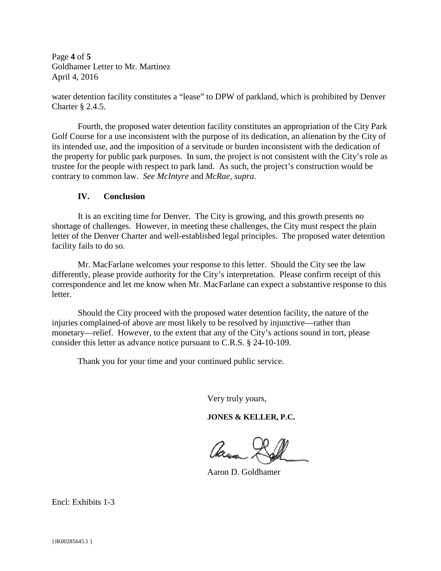Page **4** of **5** Goldhamer Letter to Mr. Martinez April 4, 2016

water detention facility constitutes a "lease" to DPW of parkland, which is prohibited by Denver Charter § 2.4.5.

Fourth, the proposed water detention facility constitutes an appropriation of the City Park Golf Course for a use inconsistent with the purpose of its dedication, an alienation by the City of its intended use, and the imposition of a servitude or burden inconsistent with the dedication of the property for public park purposes. In sum, the project is not consistent with the City's role as trustee for the people with respect to park land. As such, the project's construction would be contrary to common law. *See McIntyre* and *McRae*, *supra*.

# **IV. Conclusion**

It is an exciting time for Denver. The City is growing, and this growth presents no shortage of challenges. However, in meeting these challenges, the City must respect the plain letter of the Denver Charter and well-established legal principles. The proposed water detention facility fails to do so.

Mr. MacFarlane welcomes your response to this letter. Should the City see the law differently, please provide authority for the City's interpretation. Please confirm receipt of this correspondence and let me know when Mr. MacFarlane can expect a substantive response to this letter.

Should the City proceed with the proposed water detention facility, the nature of the injuries complained-of above are most likely to be resolved by injunctive—rather than monetary—relief. However, to the extent that any of the City's actions sound in tort, please consider this letter as advance notice pursuant to C.R.S. § 24-10-109.

Thank you for your time and your continued public service.

Very truly yours,

**JONES & KELLER, P.C.**

Aasi

Aaron D. Goldhamer

Encl: Exhibits 1-3